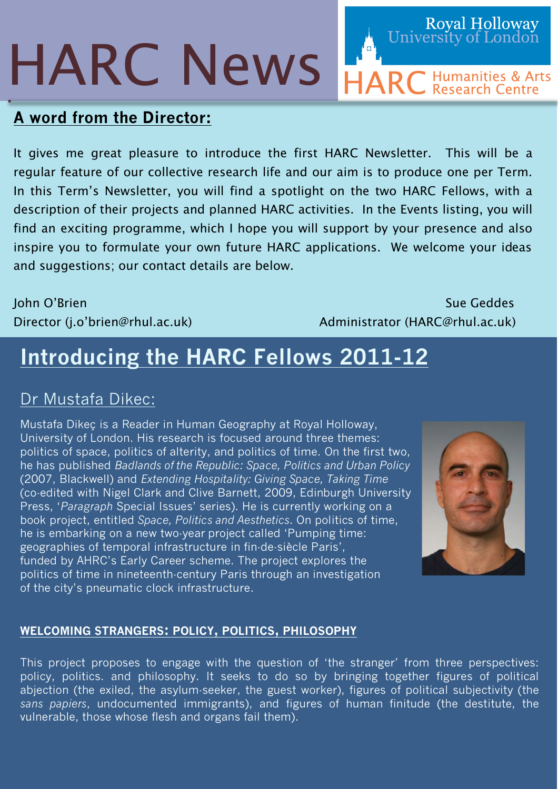# HARC News

# **A word from the Director:**

It gives me great pleasure to introduce the first HARC Newsletter. This will be a regular feature of our collective research life and our aim is to produce one per Term. In this Term's Newsletter, you will find a spotlight on the two HARC Fellows, with a description of their projects and planned HARC activities. In the Events listing, you will find an exciting programme, which I hope you will support by your presence and also inspire you to formulate your own future HARC applications. We welcome your ideas and suggestions; our contact details are below.

John O'Brien Sue Geddes and Sue Geddes Sue Geddes Sue Geddes Sue Geddes Sue Geddes Sue Geddes Sue Geddes Sue G Director (j.o'brien@rhul.ac.uk) Administrator (HARC@rhul.ac.uk)

# **Introducing the HARC Fellows 2011-12**

# Dr Mustafa Dikec:

Mustafa Dikeç is a Reader in Human Geography at Royal Holloway, University of London. His research is focused around three themes: politics of space, politics of alterity, and politics of time. On the first two, he has published *Badlands of the Republic: Space, Politics and Urban Policy* (2007, Blackwell) and *Extending Hospitality: Giving Space, Taking Time* (co-edited with Nigel Clark and Clive Barnett, 2009, Edinburgh University Press, '*Paragraph* Special Issues' series). He is currently working on a book project, entitled *Space, Politics and Aesthetics*. On politics of time, he is embarking on a new two-year project called 'Pumping time: geographies of temporal infrastructure in fin-de-siècle Paris', funded by AHRC's Early Career scheme. The project explores the politics of time in nineteenth-century Paris through an investigation of the city's pneumatic clock infrastructure.



Royal Holloway<br>University of London

**ARC** Humanities & Arts

### **WELCOMING STRANGERS: POLICY, POLITICS, PHILOSOPHY**

This project proposes to engage with the question of 'the stranger' from three perspectives: policy, politics. and philosophy. It seeks to do so by bringing together figures of political abjection (the exiled, the asylum-seeker, the guest worker), figures of political subjectivity (the *sans papiers*, undocumented immigrants), and figures of human finitude (the destitute, the vulnerable, those whose flesh and organs fail them).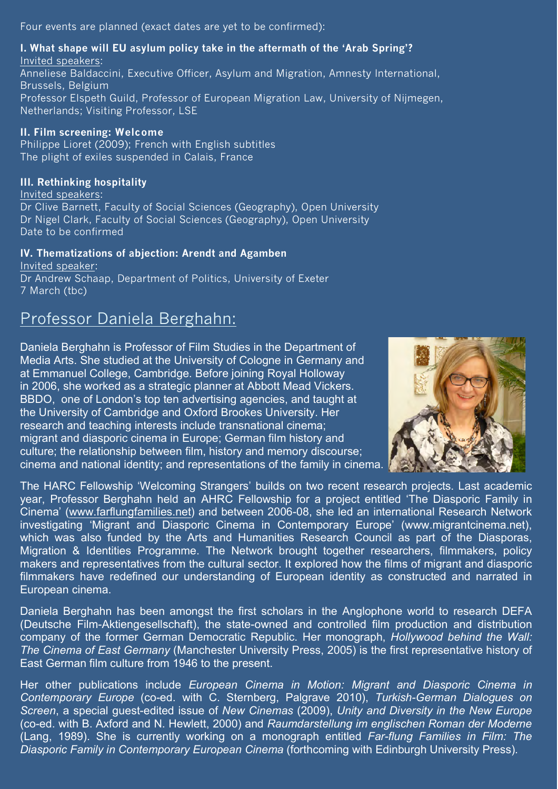Four events are planned (exact dates are yet to be confirmed):

#### **I. What shape will EU asylum policy take in the aftermath of the 'Arab Spring'?** Invited speakers:

Anneliese Baldaccini, Executive Officer, Asylum and Migration, Amnesty International, Brussels, Belgium Professor Elspeth Guild, Professor of European Migration Law, University of Nijmegen, Netherlands; Visiting Professor, LSE

#### **II. Film screening: Welcome**

Philippe Lioret (2009); French with English subtitles The plight of exiles suspended in Calais, France

#### **III. Rethinking hospitality**

Invited speakers:

Dr Clive Barnett, Faculty of Social Sciences (Geography), Open University Dr Nigel Clark, Faculty of Social Sciences (Geography), Open University Date to be confirmed

#### **IV. Thematizations of abjection: Arendt and Agamben**

Invited speaker: Dr Andrew Schaap, Department of Politics, University of Exeter 7 March (tbc)

## Professor Daniela Berghahn:

Daniela Berghahn is Professor of Film Studies in the Department of Media Arts. She studied at the University of Cologne in Germany and at Emmanuel College, Cambridge. Before joining Royal Holloway in 2006, she worked as a strategic planner at Abbott Mead Vickers. BBDO, one of London's top ten advertising agencies, and taught at the University of Cambridge and Oxford Brookes University. Her research and teaching interests include transnational cinema; migrant and diasporic cinema in Europe; German film history and culture; the relationship between film, history and memory discourse; cinema and national identity; and representations of the family in cinema.



The HARC Fellowship 'Welcoming Strangers' builds on two recent research projects. Last academic year, Professor Berghahn held an AHRC Fellowship for a project entitled 'The Diasporic Family in Cinema' (www.farflungfamilies.net) and between 2006-08, she led an international Research Network investigating 'Migrant and Diasporic Cinema in Contemporary Europe' (www.migrantcinema.net), which was also funded by the Arts and Humanities Research Council as part of the Diasporas, Migration & Identities Programme. The Network brought together researchers, filmmakers, policy makers and representatives from the cultural sector. It explored how the films of migrant and diasporic filmmakers have redefined our understanding of European identity as constructed and narrated in European cinema.

Daniela Berghahn has been amongst the first scholars in the Anglophone world to research DEFA (Deutsche Film-Aktiengesellschaft), the state-owned and controlled film production and distribution company of the former German Democratic Republic. Her monograph, *Hollywood behind the Wall: The Cinema of East Germany* (Manchester University Press, 2005) is the first representative history of East German film culture from 1946 to the present.

Her other publications include *European Cinema in Motion: Migrant and Diasporic Cinema in Contemporary Europe* (co-ed. with C. Sternberg, Palgrave 2010), *Turkish-German Dialogues on Screen*, a special guest-edited issue of *New Cinemas* (2009), *Unity and Diversity in the New Europe*  (co-ed. with B. Axford and N. Hewlett, 2000) and *Raumdarstellung im englischen Roman der Moderne* (Lang, 1989). She is currently working on a monograph entitled *Far-flung Families in Film: The Diasporic Family in Contemporary European Cinema* (forthcoming with Edinburgh University Press).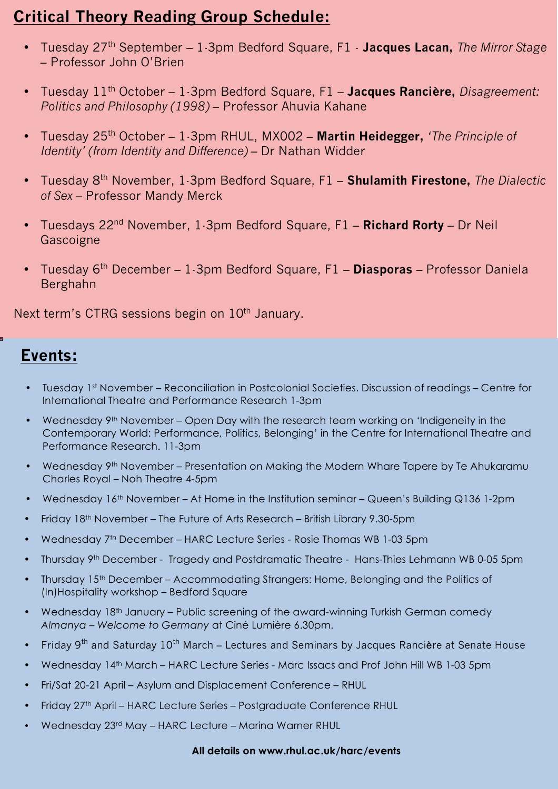# **Critical Theory Reading Group Schedule:**

- Tuesday 27th September 1-3pm Bedford Square, F1 **Jacques Lacan,** *The Mirror Stage* – Professor John O'Brien
- Tuesday 11th October 1-3pm Bedford Square, F1 **Jacques Rancière,** *Disagreement: Politics and Philosophy (1998)* – Professor Ahuvia Kahane
- Tuesday 25th October 1-3pm RHUL, MX002 **Martin Heidegger,** *'The Principle of Identity' (from Identity and Difference)* – Dr Nathan Widder
- Tuesday 8th November, 1-3pm Bedford Square, F1 **Shulamith Firestone,** *The Dialectic of Sex* – Professor Mandy Merck
- Tuesdays 22nd November, 1-3pm Bedford Square, F1 **Richard Rorty** Dr Neil Gascoigne
- Tuesday 6th December 1-3pm Bedford Square, F1 **Diasporas** Professor Daniela Berghahn

Next term's CTRG sessions begin on  $10<sup>th</sup>$  January.

## **Events:**

- Tuesday 1st November Reconciliation in Postcolonial Societies. Discussion of readings Centre for International Theatre and Performance Research 1-3pm
- Wednesday 9th November Open Day with the research team working on 'Indigeneity in the Contemporary World: Performance, Politics, Belonging' in the Centre for International Theatre and Performance Research. 11-3pm
- Wednesday 9<sup>th</sup> November Presentation on Making the Modern Whare Tapere by Te Ahukaramu Charles Royal – Noh Theatre 4-5pm
- Wednesday 16<sup>th</sup> November At Home in the Institution seminar Queen's Building Q136 1-2pm
- Friday 18th November The Future of Arts Research British Library 9.30-5pm
- Wednesday 7<sup>th</sup> December HARC Lecture Series Rosie Thomas WB 1-03 5pm
- Thursday 9th December Tragedy and Postdramatic Theatre Hans-Thies Lehmann WB 0-05 5pm
- Thursday 15th December Accommodating Strangers: Home, Belonging and the Politics of (In)Hospitality workshop – Bedford Square
- Wednesday 18th January Public screening of the award-winning Turkish German comedy *Almanya – Welcome to Germany* at Ciné Lumière 6.30pm.
- Friday  $9<sup>th</sup>$  and Saturday 10<sup>th</sup> March Lectures and Seminars by Jacques Rancière at Senate House
- Wednesday 14th March HARC Lecture Series Marc Issacs and Prof John Hill WB 1-03 5pm
- Fri/Sat 20-21 April Asylum and Displacement Conference RHUL
- Friday 27th April HARC Lecture Series Postgraduate Conference RHUL
- Wednesday 23rd May HARC Lecture Marina Warner RHUL

#### **All details on www.rhul.ac.uk/harc/events**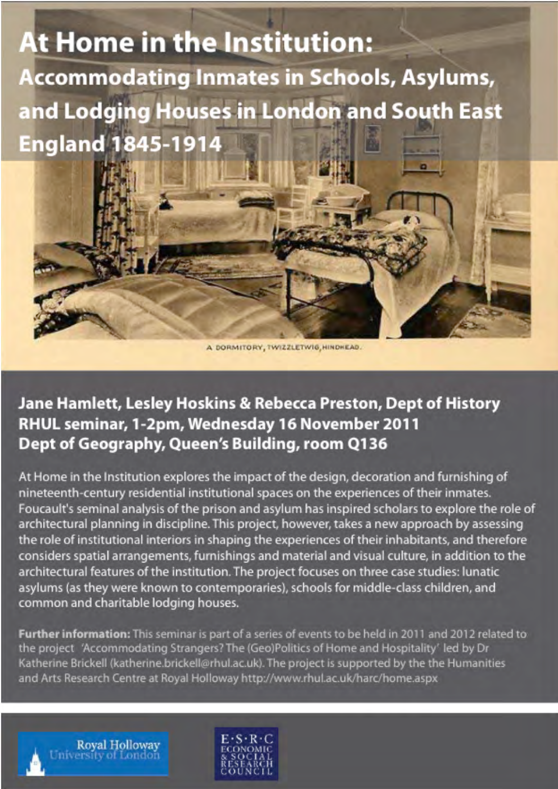# **At Home in the Institution: Accommodating Inmates in Schools, Asylums,** and Lodging Houses in London and South East **England 1845-1914**

A DORMITORY, TWIZZLETWIG, HINDHEAD.

# Jane Hamlett, Lesley Hoskins & Rebecca Preston, Dept of History RHUL seminar, 1-2pm, Wednesday 16 November 2011 Dept of Geography, Queen's Building, room Q136

At Home in the Institution explores the impact of the design, decoration and furnishing of nineteenth-century residential institutional spaces on the experiences of their inmates. Foucault's seminal analysis of the prison and asylum has inspired scholars to explore the role of architectural planning in discipline. This project, however, takes a new approach by assessing the role of institutional interiors in shaping the experiences of their inhabitants, and therefore considers spatial arrangements, furnishings and material and visual culture, in addition to the architectural features of the institution. The project focuses on three case studies: lunatic asylums (as they were known to contemporaries), schools for middle-class children, and common and charitable lodging houses.

Further information: This seminar is part of a series of events to be held in 2011 and 2012 related to the project 'Accommodating Strangers? The (Geo)Politics of Home and Hospitality' led by Dr Katherine Brickell (katherine.brickell@rhul.ac.uk). The project is supported by the the Humanities and Arts Research Centre at Royal Holloway http://www.rhul.ac.uk/harc/home.aspx

**Royal Holloway** niversity of London